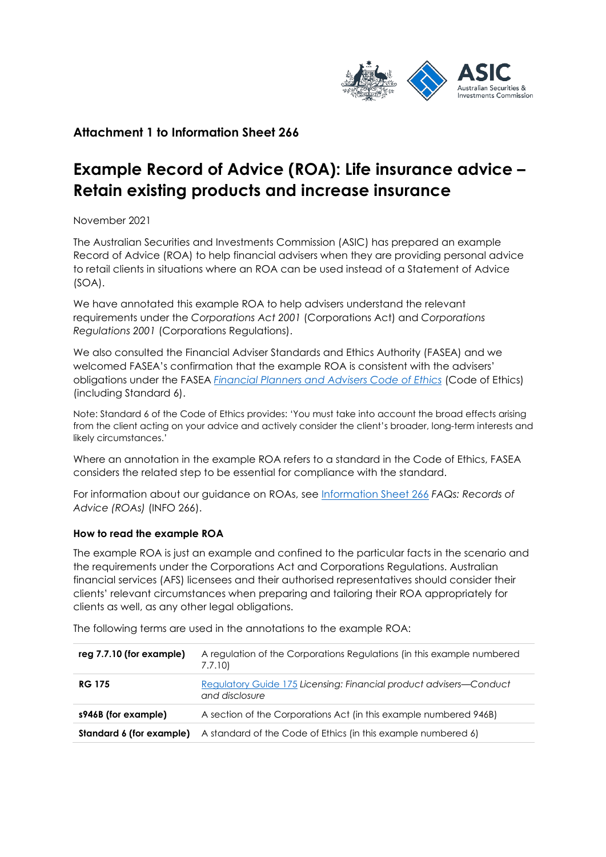

## **Attachment 1 to Information Sheet 266**

# **Example Record of Advice (ROA): Life insurance advice – Retain existing products and increase insurance**

November 2021

The Australian Securities and Investments Commission (ASIC) has prepared an example Record of Advice (ROA) to help financial advisers when they are providing personal advice to retail clients in situations where an ROA can be used instead of a Statement of Advice (SOA).

We have annotated this example ROA to help advisers understand the relevant requirements under the *Corporations Act 2001* (Corporations Act) and *Corporations Regulations 2001* (Corporations Regulations).

We also consulted the Financial Adviser Standards and Ethics Authority (FASEA) and we welcomed FASEA's confirmation that the example ROA is consistent with the advisers' obligations under the FASEA *[Financial Planners and Advisers Code](https://www.legislation.gov.au/Details/F2019L00117) of Ethics* (Code of Ethics) (including Standard 6).

Note: Standard 6 of the Code of Ethics provides: 'You must take into account the broad effects arising from the client acting on your advice and actively consider the client's broader, long-term interests and likely circumstances.'

Where an annotation in the example ROA refers to a standard in the Code of Ethics, FASEA considers the related step to be essential for compliance with the standard.

For information about our guidance on ROAs, see [Information Sheet 266](https://asic.gov.au/regulatory-resources/financial-services/giving-financial-product-advice/faqs-records-of-advice-roas/) *FAQs: Records of Advice (ROAs)* (INFO 266).

## **How to read the example ROA**

The example ROA is just an example and confined to the particular facts in the scenario and the requirements under the Corporations Act and Corporations Regulations. Australian financial services (AFS) licensees and their authorised representatives should consider their clients' relevant circumstances when preparing and tailoring their ROA appropriately for clients as well, as any other legal obligations.

| reg 7.7.10 (for example) | A regulation of the Corporations Regulations (in this example numbered<br>7.7.10)           |
|--------------------------|---------------------------------------------------------------------------------------------|
| <b>RG 175</b>            | <b>Regulatory Guide 175 Licensing: Financial product advisers—Conduct</b><br>and disclosure |
| s946B (for example)      | A section of the Corporations Act (in this example numbered 946B)                           |
| Standard 6 (for example) | A standard of the Code of Ethics (in this example numbered 6)                               |

The following terms are used in the annotations to the example ROA: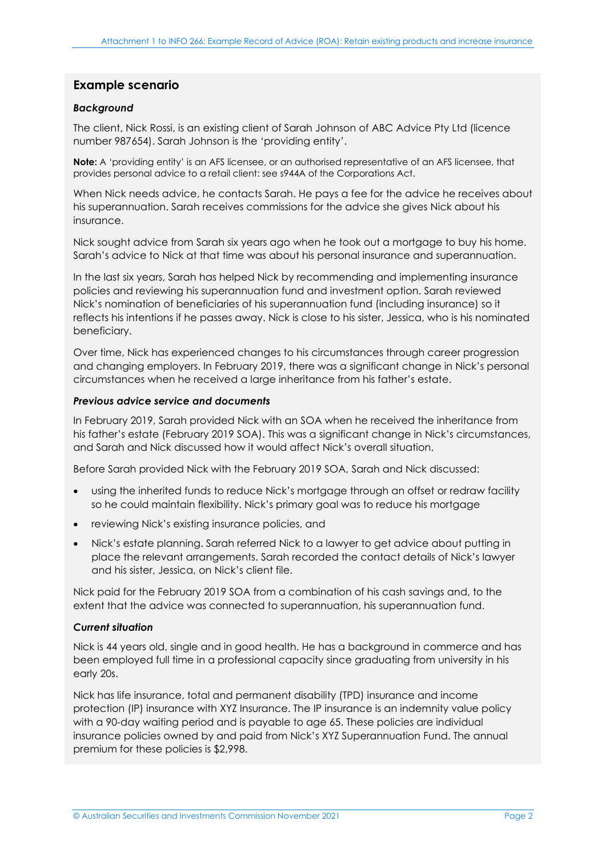## **Example scenario**

### *Background*

The client, Nick Rossi, is an existing client of Sarah Johnson of ABC Advice Pty Ltd (licence number 987654). Sarah Johnson is the 'providing entity'.

**Note:** A 'providing entity' is an AFS licensee, or an authorised representative of an AFS licensee, that provides personal advice to a retail client: see s944A of the Corporations Act.

When Nick needs advice, he contacts Sarah. He pays a fee for the advice he receives about his superannuation. Sarah receives commissions for the advice she gives Nick about his insurance.

Nick sought advice from Sarah six years ago when he took out a mortgage to buy his home. Sarah's advice to Nick at that time was about his personal insurance and superannuation.

In the last six years, Sarah has helped Nick by recommending and implementing insurance policies and reviewing his superannuation fund and investment option. Sarah reviewed Nick's nomination of beneficiaries of his superannuation fund (including insurance) so it reflects his intentions if he passes away. Nick is close to his sister, Jessica, who is his nominated beneficiary.

Over time, Nick has experienced changes to his circumstances through career progression and changing employers. In February 2019, there was a significant change in Nick's personal circumstances when he received a large inheritance from his father's estate.

### *Previous advice service and documents*

In February 2019, Sarah provided Nick with an SOA when he received the inheritance from his father's estate (February 2019 SOA). This was a significant change in Nick's circumstances, and Sarah and Nick discussed how it would affect Nick's overall situation.

Before Sarah provided Nick with the February 2019 SOA, Sarah and Nick discussed:

- using the inherited funds to reduce Nick's mortgage through an offset or redraw facility so he could maintain flexibility. Nick's primary goal was to reduce his mortgage
- reviewing Nick's existing insurance policies, and
- Nick's estate planning. Sarah referred Nick to a lawyer to get advice about putting in place the relevant arrangements. Sarah recorded the contact details of Nick's lawyer and his sister, Jessica, on Nick's client file.

Nick paid for the February 2019 SOA from a combination of his cash savings and, to the extent that the advice was connected to superannuation, his superannuation fund.

### *Current situation*

Nick is 44 years old, single and in good health. He has a background in commerce and has been employed full time in a professional capacity since graduating from university in his early 20s.

Nick has life insurance, total and permanent disability (TPD) insurance and income protection (IP) insurance with XYZ Insurance. The IP insurance is an indemnity value policy with a 90-day waiting period and is payable to age 65. These policies are individual insurance policies owned by and paid from Nick's XYZ Superannuation Fund. The annual premium for these policies is \$2,998.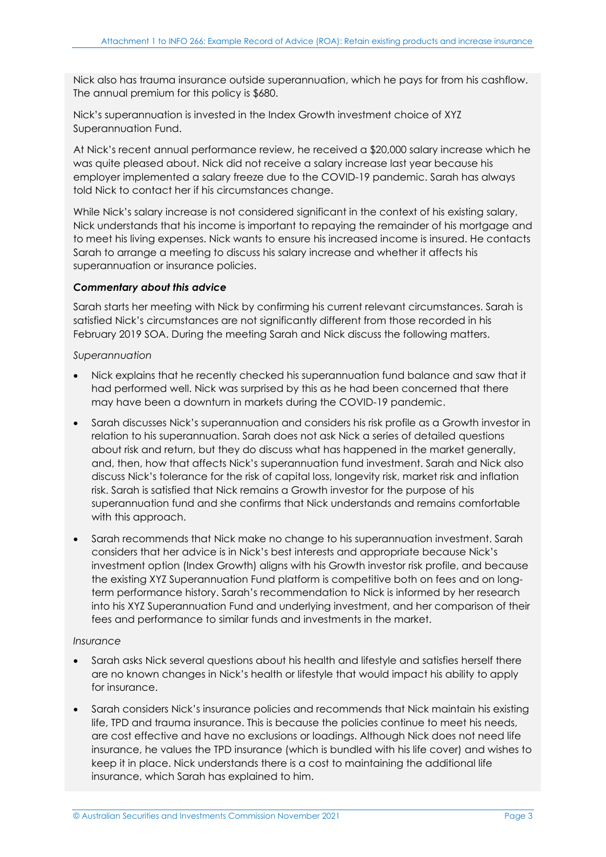Nick also has trauma insurance outside superannuation, which he pays for from his cashflow. The annual premium for this policy is \$680.

Nick's superannuation is invested in the Index Growth investment choice of XYZ Superannuation Fund.

At Nick's recent annual performance review, he received a \$20,000 salary increase which he was quite pleased about. Nick did not receive a salary increase last year because his employer implemented a salary freeze due to the COVID-19 pandemic. Sarah has always told Nick to contact her if his circumstances change.

While Nick's salary increase is not considered significant in the context of his existing salary, Nick understands that his income is important to repaying the remainder of his mortgage and to meet his living expenses. Nick wants to ensure his increased income is insured. He contacts Sarah to arrange a meeting to discuss his salary increase and whether it affects his superannuation or insurance policies.

## *Commentary about this advice*

Sarah starts her meeting with Nick by confirming his current relevant circumstances. Sarah is satisfied Nick's circumstances are not significantly different from those recorded in his February 2019 SOA. During the meeting Sarah and Nick discuss the following matters.

*Superannuation*

- Nick explains that he recently checked his superannuation fund balance and saw that it had performed well. Nick was surprised by this as he had been concerned that there may have been a downturn in markets during the COVID-19 pandemic.
- Sarah discusses Nick's superannuation and considers his risk profile as a Growth investor in relation to his superannuation. Sarah does not ask Nick a series of detailed questions about risk and return, but they do discuss what has happened in the market generally, and, then, how that affects Nick's superannuation fund investment. Sarah and Nick also discuss Nick's tolerance for the risk of capital loss, longevity risk, market risk and inflation risk. Sarah is satisfied that Nick remains a Growth investor for the purpose of his superannuation fund and she confirms that Nick understands and remains comfortable with this approach.
- Sarah recommends that Nick make no change to his superannuation investment. Sarah considers that her advice is in Nick's best interests and appropriate because Nick's investment option (Index Growth) aligns with his Growth investor risk profile, and because the existing XYZ Superannuation Fund platform is competitive both on fees and on longterm performance history. Sarah's recommendation to Nick is informed by her research into his XYZ Superannuation Fund and underlying investment, and her comparison of their fees and performance to similar funds and investments in the market.

## *Insurance*

- Sarah asks Nick several questions about his health and lifestyle and satisfies herself there are no known changes in Nick's health or lifestyle that would impact his ability to apply for insurance.
- Sarah considers Nick's insurance policies and recommends that Nick maintain his existing life, TPD and trauma insurance. This is because the policies continue to meet his needs, are cost effective and have no exclusions or loadings. Although Nick does not need life insurance, he values the TPD insurance (which is bundled with his life cover) and wishes to keep it in place. Nick understands there is a cost to maintaining the additional life insurance, which Sarah has explained to him.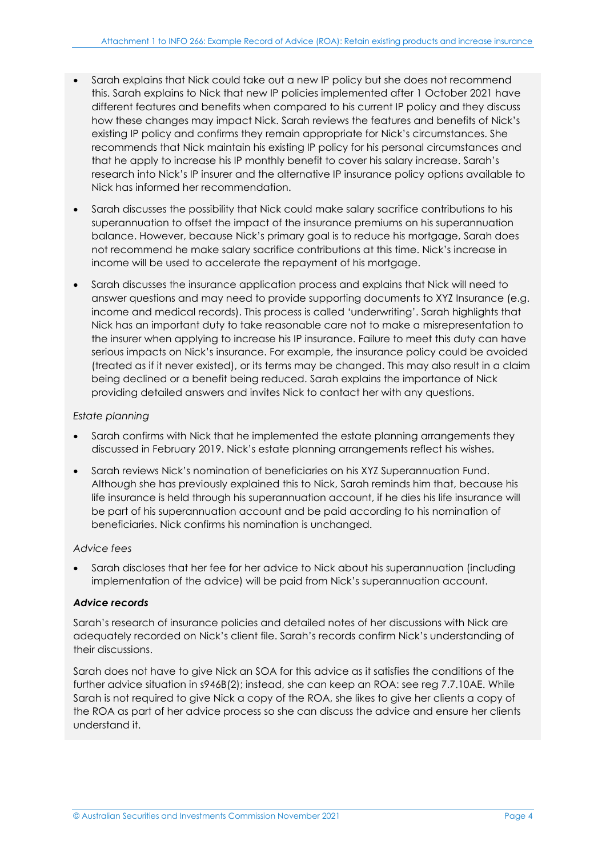- Sarah explains that Nick could take out a new IP policy but she does not recommend this. Sarah explains to Nick that new IP policies implemented after 1 October 2021 have different features and benefits when compared to his current IP policy and they discuss how these changes may impact Nick. Sarah reviews the features and benefits of Nick's existing IP policy and confirms they remain appropriate for Nick's circumstances. She recommends that Nick maintain his existing IP policy for his personal circumstances and that he apply to increase his IP monthly benefit to cover his salary increase. Sarah's research into Nick's IP insurer and the alternative IP insurance policy options available to Nick has informed her recommendation.
- Sarah discusses the possibility that Nick could make salary sacrifice contributions to his superannuation to offset the impact of the insurance premiums on his superannuation balance. However, because Nick's primary goal is to reduce his mortgage, Sarah does not recommend he make salary sacrifice contributions at this time. Nick's increase in income will be used to accelerate the repayment of his mortgage.
- Sarah discusses the insurance application process and explains that Nick will need to answer questions and may need to provide supporting documents to XYZ Insurance (e.g. income and medical records). This process is called 'underwriting'. Sarah highlights that Nick has an important duty to take reasonable care not to make a misrepresentation to the insurer when applying to increase his IP insurance. Failure to meet this duty can have serious impacts on Nick's insurance. For example, the insurance policy could be avoided (treated as if it never existed), or its terms may be changed. This may also result in a claim being declined or a benefit being reduced. Sarah explains the importance of Nick providing detailed answers and invites Nick to contact her with any questions.

## *Estate planning*

- Sarah confirms with Nick that he implemented the estate planning arrangements they discussed in February 2019. Nick's estate planning arrangements reflect his wishes.
- Sarah reviews Nick's nomination of beneficiaries on his XYZ Superannuation Fund. Although she has previously explained this to Nick, Sarah reminds him that, because his life insurance is held through his superannuation account, if he dies his life insurance will be part of his superannuation account and be paid according to his nomination of beneficiaries. Nick confirms his nomination is unchanged.

## *Advice fees*

• Sarah discloses that her fee for her advice to Nick about his superannuation (including implementation of the advice) will be paid from Nick's superannuation account.

## *Advice records*

Sarah's research of insurance policies and detailed notes of her discussions with Nick are adequately recorded on Nick's client file. Sarah's records confirm Nick's understanding of their discussions.

Sarah does not have to give Nick an SOA for this advice as it satisfies the conditions of the further advice situation in s946B(2); instead, she can keep an ROA: see reg 7.7.10AE. While Sarah is not required to give Nick a copy of the ROA, she likes to give her clients a copy of the ROA as part of her advice process so she can discuss the advice and ensure her clients understand it.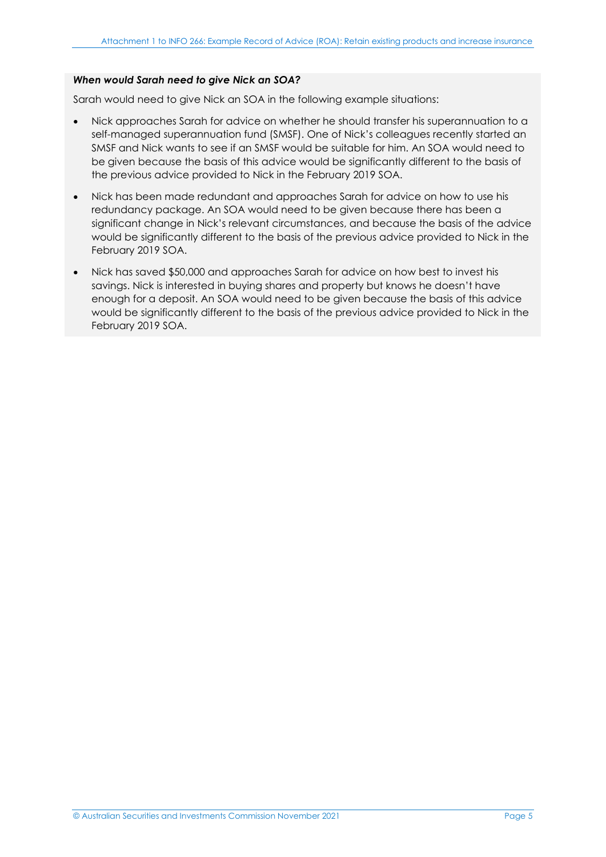## *When would Sarah need to give Nick an SOA?*

Sarah would need to give Nick an SOA in the following example situations:

- Nick approaches Sarah for advice on whether he should transfer his superannuation to a self-managed superannuation fund (SMSF). One of Nick's colleagues recently started an SMSF and Nick wants to see if an SMSF would be suitable for him. An SOA would need to be given because the basis of this advice would be significantly different to the basis of the previous advice provided to Nick in the February 2019 SOA.
- Nick has been made redundant and approaches Sarah for advice on how to use his redundancy package. An SOA would need to be given because there has been a significant change in Nick's relevant circumstances, and because the basis of the advice would be significantly different to the basis of the previous advice provided to Nick in the February 2019 SOA.
- Nick has saved \$50,000 and approaches Sarah for advice on how best to invest his savings. Nick is interested in buying shares and property but knows he doesn't have enough for a deposit. An SOA would need to be given because the basis of this advice would be significantly different to the basis of the previous advice provided to Nick in the February 2019 SOA.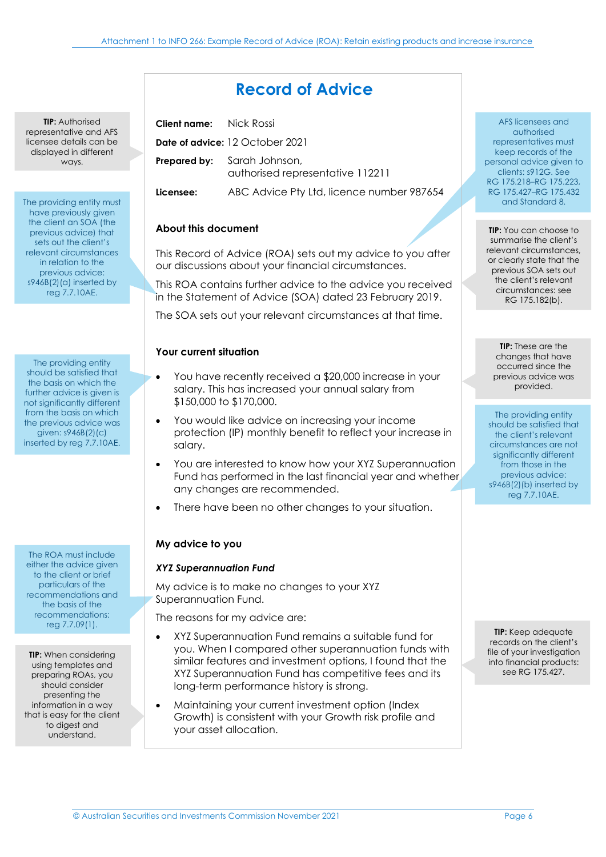# **Record of Advice**

**TIP:** Authorised representative and AFS licensee details can be displayed in different ways.

The providing entity must have previously given the client an SOA (the previous advice) that sets out the client's relevant circumstances in relation to the previous advice: s946B(2)(a) inserted by reg 7.7.10AE.

The providing entity should be satisfied that the basis on which the further advice is given is not significantly different from the basis on which the previous advice was given: s946B(2)(c) inserted by reg 7.7.10AE.

The ROA must include either the advice given to the client or brief particulars of the recommendations and the basis of the recommendations: reg 7.7.09(1).

**TIP:** When considering using templates and preparing ROAs, you should consider presenting the information in a way that is easy for the client to digest and understand.

**Client name:** Nick Rossi **Date of advice:** 12 October 2021 **Prepared by:** Sarah Johnson, authorised representative 112211 **Licensee:** ABC Advice Pty Ltd, licence number 987654

## **About this document**

This Record of Advice (ROA) sets out my advice to you after our discussions about your financial circumstances.

This ROA contains further advice to the advice you received in the Statement of Advice (SOA) dated 23 February 2019.

The SOA sets out your relevant circumstances at that time.

## **Your current situation**

- You have recently received a \$20,000 increase in your salary. This has increased your annual salary from \$150,000 to \$170,000.
- You would like advice on increasing your income protection (IP) monthly benefit to reflect your increase in salary.
- You are interested to know how your XYZ Superannuation Fund has performed in the last financial year and whether any changes are recommended.
- There have been no other changes to your situation.

## **My advice to you**

## *XYZ Superannuation Fund*

My advice is to make no changes to your XYZ Superannuation Fund.

The reasons for my advice are:

- XYZ Superannuation Fund remains a suitable fund for you. When I compared other superannuation funds with similar features and investment options, I found that the XYZ Superannuation Fund has competitive fees and its long-term performance history is strong.
- Maintaining your current investment option (Index Growth) is consistent with your Growth risk profile and your asset allocation.

AFS licensees and authorised representatives must keep records of the personal advice given to clients: s912G. See RG 175.218–RG 175.223, RG 175.427–RG 175.432 and Standard 8.

**TIP:** You can choose to summarise the client's relevant circumstances, or clearly state that the previous SOA sets out the client's relevant circumstances: see RG 175.182(b).

**TIP:** These are the changes that have occurred since the previous advice was provided.

The providing entity should be satisfied that the client's relevant circumstances are not significantly different from those in the previous advice: s946B(2)(b) inserted by reg 7.7.10AE.

**TIP:** Keep adequate records on the client's file of your investigation into financial products: see RG 175.427.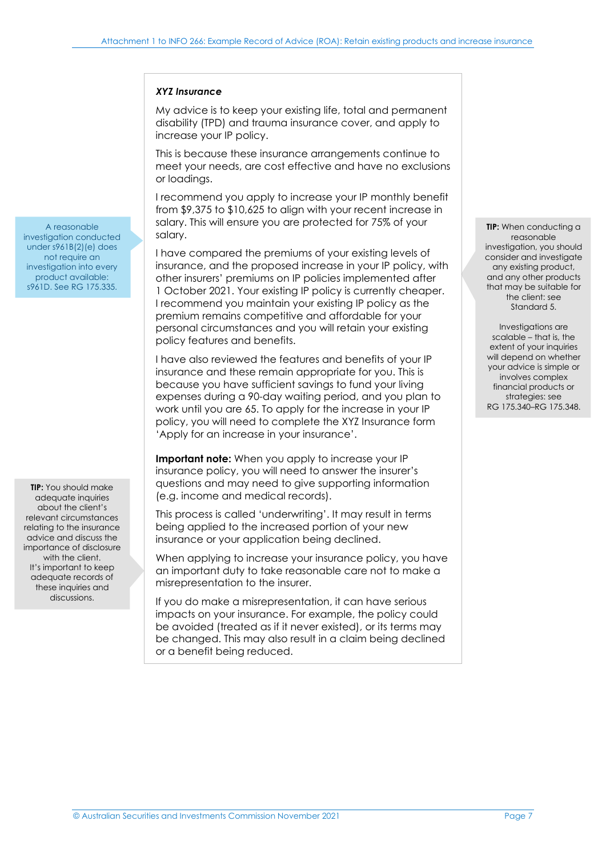### *XYZ Insurance*

My advice is to keep your existing life, total and permanent disability (TPD) and trauma insurance cover, and apply to increase your IP policy.

This is because these insurance arrangements continue to meet your needs, are cost effective and have no exclusions or loadings.

I recommend you apply to increase your IP monthly benefit from \$9,375 to \$10,625 to align with your recent increase in salary. This will ensure you are protected for 75% of your salary.

I have compared the premiums of your existing levels of insurance, and the proposed increase in your IP policy, with other insurers' premiums on IP policies implemented after 1 October 2021. Your existing IP policy is currently cheaper. I recommend you maintain your existing IP policy as the premium remains competitive and affordable for your personal circumstances and you will retain your existing policy features and benefits.

I have also reviewed the features and benefits of your IP insurance and these remain appropriate for you. This is because you have sufficient savings to fund your living expenses during a 90-day waiting period, and you plan to work until you are 65. To apply for the increase in your IP policy, you will need to complete the XYZ Insurance form 'Apply for an increase in your insurance'.

**Important note:** When you apply to increase your IP insurance policy, you will need to answer the insurer's questions and may need to give supporting information (e.g. income and medical records).

This process is called 'underwriting'. It may result in terms being applied to the increased portion of your new insurance or your application being declined.

When applying to increase your insurance policy, you have an important duty to take reasonable care not to make a misrepresentation to the insurer.

If you do make a misrepresentation, it can have serious impacts on your insurance. For example, the policy could be avoided (treated as if it never existed), or its terms may be changed. This may also result in a claim being declined or a benefit being reduced.

**TIP:** When conducting a reasonable investigation, you should consider and investigate any existing product, and any other products that may be suitable for the client: see Standard 5.

Investigations are scalable – that is, the extent of your inquiries will depend on whether your advice is simple or involves complex financial products or strategies: see RG 175.340–RG 175.348.

A reasonable investigation conducted under s961B(2)(e) does not require an investigation into every product available: s961D. See RG 175.335.

**TIP:** You should make adequate inquiries about the client's relevant circumstances relating to the insurance advice and discuss the importance of disclosure with the client. It's important to keep adequate records of these inquiries and discussions.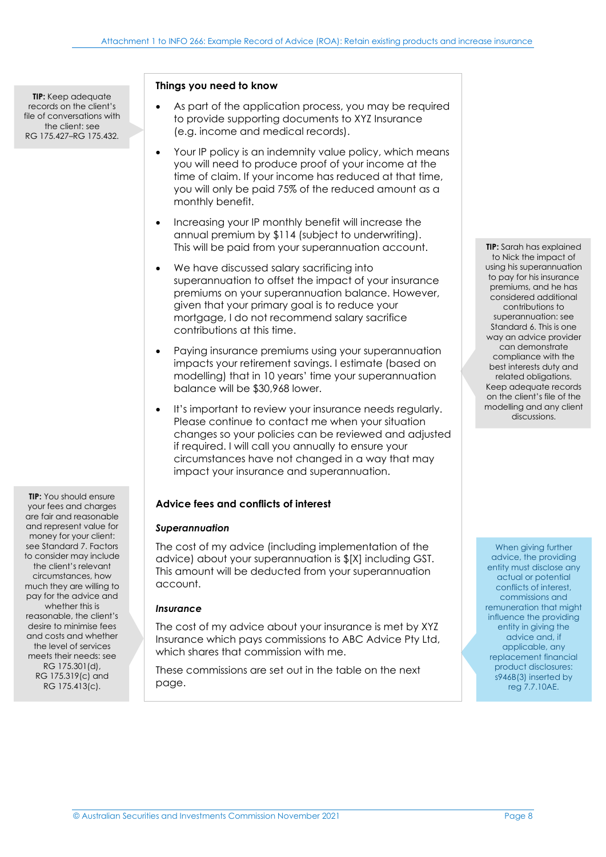**TIP:** Keep adequate records on the client's file of conversations with the client: see RG 175.427–RG 175.432.

**TIP:** You should ensure your fees and charges are fair and reasonable and represent value for money for your client: see Standard 7. Factors to consider may include the client's relevant circumstances, how much they are willing to pay for the advice and whether this is reasonable, the client's desire to minimise fees and costs and whether the level of services meets their needs: see RG 175.301(d), RG 175.319(c) and RG 175.413(c).

### **Things you need to know**

- As part of the application process, you may be required to provide supporting documents to XYZ Insurance (e.g. income and medical records).
- Your IP policy is an indemnity value policy, which means you will need to produce proof of your income at the time of claim. If your income has reduced at that time, you will only be paid 75% of the reduced amount as a monthly benefit.
- Increasing your IP monthly benefit will increase the annual premium by \$114 (subject to underwriting). This will be paid from your superannuation account.
- We have discussed salary sacrificing into superannuation to offset the impact of your insurance premiums on your superannuation balance. However, given that your primary goal is to reduce your mortgage, I do not recommend salary sacrifice contributions at this time.
- Paying insurance premiums using your superannuation impacts your retirement savings. I estimate (based on modelling) that in 10 years' time your superannuation balance will be \$30,968 lower.
- It's important to review your insurance needs regularly. Please continue to contact me when your situation changes so your policies can be reviewed and adjusted if required. I will call you annually to ensure your circumstances have not changed in a way that may impact your insurance and superannuation.

### **Advice fees and conflicts of interest**

### *Superannuation*

The cost of my advice (including implementation of the advice) about your superannuation is \$[X] including GST. This amount will be deducted from your superannuation account.

### *Insurance*

The cost of my advice about your insurance is met by XYZ Insurance which pays commissions to ABC Advice Pty Ltd, which shares that commission with me.

These commissions are set out in the table on the next page.

**TIP:** Sarah has explained to Nick the impact of using his superannuation to pay for his insurance premiums, and he has considered additional contributions to superannuation: see Standard 6. This is one way an advice provider can demonstrate compliance with the best interests duty and related obligations. Keep adequate records on the client's file of the modelling and any client discussions.

When giving further advice, the providing entity must disclose any actual or potential conflicts of interest, commissions and remuneration that might influence the providing entity in giving the advice and, if applicable, any replacement financial product disclosures: s946B(3) inserted by reg 7.7.10AE.